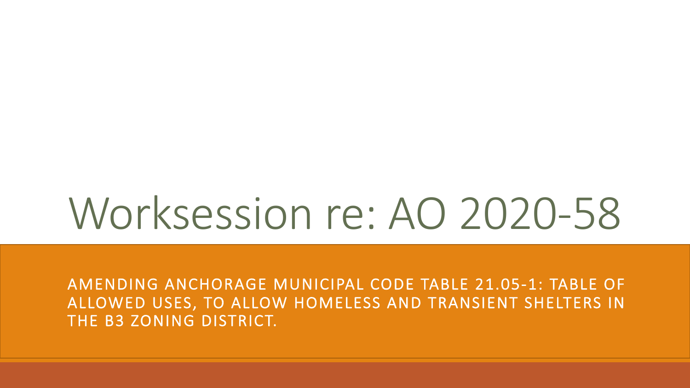# Worksession re: AO 2020-58

AMENDING ANCHORAGE MUNICIPAL CODE TABLE 21.05-1: TABLE OF ALLOWED USES, TO ALLOW HOMELESS AND TRANSIENT SHELTERS IN THE B3 ZONING DISTRICT.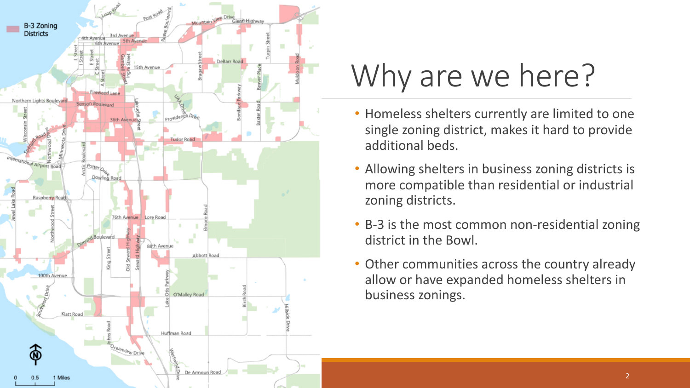

## Why are we here?

- Homeless shelters currently are limited to one single zoning district, makes it hard to provide additional beds.
- Allowing shelters in business zoning districts is more compatible than residential or industrial zoning districts.
- B-3 is the most common non-residential zoning district in the Bowl.
- Other communities across the country already allow or have expanded homeless shelters in business zonings.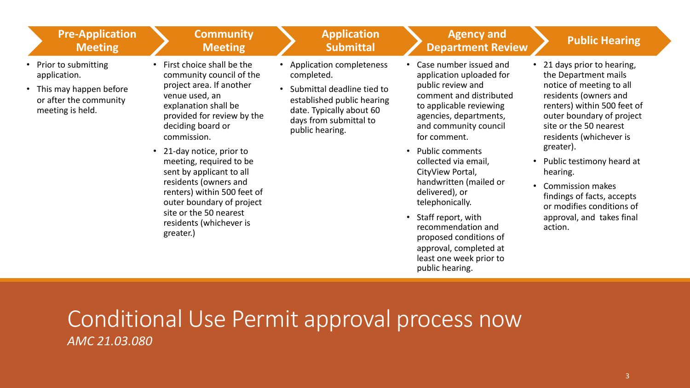| First choice shall be the<br><b>Application completeness</b><br>Case number issued and<br>Prior to submitting<br>community council of the<br>completed.<br>application.<br>application uploaded for<br>project area. If another<br>public review and<br>Submittal deadline tied to<br>This may happen before<br>venue used, an<br>comment and distributed<br>or after the community<br>established public hearing<br>explanation shall be<br>to applicable reviewing<br>meeting is held.<br>date. Typically about 60<br>provided for review by the<br>agencies, departments,<br>days from submittal to<br>deciding board or<br>and community council<br>public hearing.<br>commission.<br>for comment.<br>greater).<br><b>Public comments</b><br>21-day notice, prior to<br>$\bullet$<br>$\bullet$<br>meeting, required to be<br>collected via email,<br>sent by applicant to all<br>CityView Portal,<br>hearing.<br>residents (owners and<br>handwritten (mailed or<br>• Commission makes<br>renters) within 500 feet of<br>delivered), or | <b>Pre-Application</b><br><b>Meeting</b> | <b>Community</b><br><b>Meeting</b> | <b>Application</b><br><b>Submittal</b> | <b>Agency and</b><br><b>Department Review</b> | <b>Public Hearing</b>                                                                                                                                                                                                                                                                                                                          |
|---------------------------------------------------------------------------------------------------------------------------------------------------------------------------------------------------------------------------------------------------------------------------------------------------------------------------------------------------------------------------------------------------------------------------------------------------------------------------------------------------------------------------------------------------------------------------------------------------------------------------------------------------------------------------------------------------------------------------------------------------------------------------------------------------------------------------------------------------------------------------------------------------------------------------------------------------------------------------------------------------------------------------------------------|------------------------------------------|------------------------------------|----------------------------------------|-----------------------------------------------|------------------------------------------------------------------------------------------------------------------------------------------------------------------------------------------------------------------------------------------------------------------------------------------------------------------------------------------------|
| site or the 50 nearest<br>Staff report, with<br>$\bullet$<br>residents (whichever is<br>recommendation and<br>action.<br>greater.)<br>proposed conditions of<br>approval, completed at<br>least one week prior to<br>public hearing.                                                                                                                                                                                                                                                                                                                                                                                                                                                                                                                                                                                                                                                                                                                                                                                                        |                                          | outer boundary of project          |                                        | telephonically.                               | • 21 days prior to hearing,<br>the Department mails<br>notice of meeting to all<br>residents (owners and<br>renters) within 500 feet of<br>outer boundary of project<br>site or the 50 nearest<br>residents (whichever is<br>Public testimony heard at<br>findings of facts, accepts<br>or modifies conditions of<br>approval, and takes final |

#### Conditional Use Permit approval process now *AMC 21.03.080*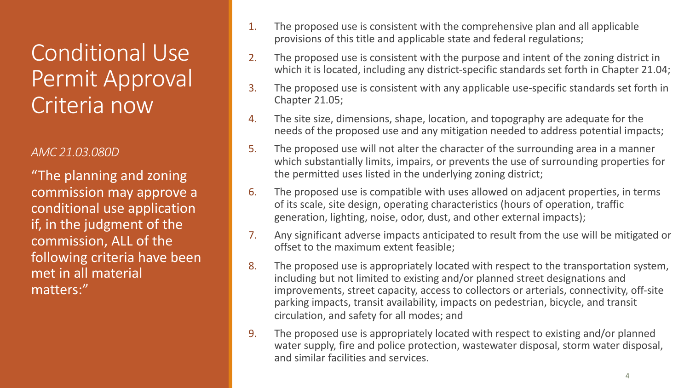### Conditional Use Permit Approval Criteria now

#### *AMC 21.03.080D*

"The planning and zoning commission may approve a conditional use application if, in the judgment of the commission, ALL of the following criteria have been met in all material matters:"

- 1. The proposed use is consistent with the comprehensive plan and all applicable provisions of this title and applicable state and federal regulations;
- 2. The proposed use is consistent with the purpose and intent of the zoning district in which it is located, including any district-specific standards set forth in Chapter 21.04;
- 3. The proposed use is consistent with any applicable use-specific standards set forth in Chapter 21.05;
- 4. The site size, dimensions, shape, location, and topography are adequate for the needs of the proposed use and any mitigation needed to address potential impacts;
- 5. The proposed use will not alter the character of the surrounding area in a manner which substantially limits, impairs, or prevents the use of surrounding properties for the permitted uses listed in the underlying zoning district;
- 6. The proposed use is compatible with uses allowed on adjacent properties, in terms of its scale, site design, operating characteristics (hours of operation, traffic generation, lighting, noise, odor, dust, and other external impacts);
- 7. Any significant adverse impacts anticipated to result from the use will be mitigated or offset to the maximum extent feasible;
- 8. The proposed use is appropriately located with respect to the transportation system, including but not limited to existing and/or planned street designations and improvements, street capacity, access to collectors or arterials, connectivity, off-site parking impacts, transit availability, impacts on pedestrian, bicycle, and transit circulation, and safety for all modes; and
- 9. The proposed use is appropriately located with respect to existing and/or planned water supply, fire and police protection, wastewater disposal, storm water disposal, and similar facilities and services.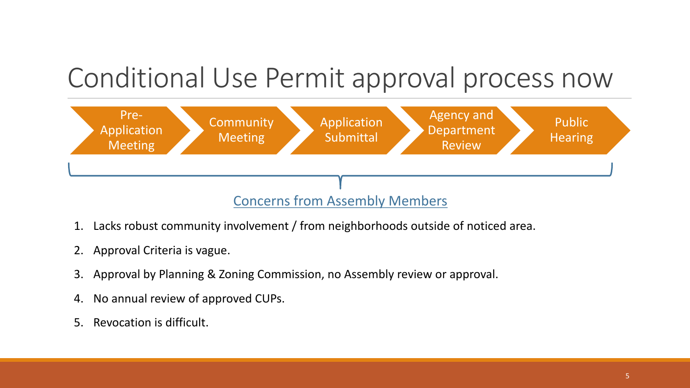### Conditional Use Permit approval process now



- 1. Lacks robust community involvement / from neighborhoods outside of noticed area.
- 2. Approval Criteria is vague.
- 3. Approval by Planning & Zoning Commission, no Assembly review or approval.
- 4. No annual review of approved CUPs.
- 5. Revocation is difficult.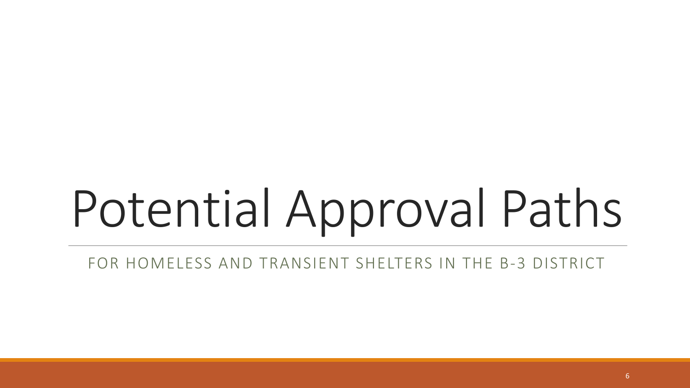# Potential Approval Paths

FOR HOMELESS AND TRANSIENT SHELTERS IN THE B-3 DISTRICT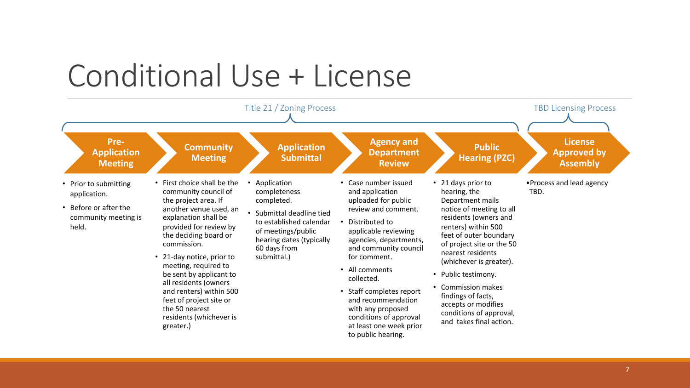### Conditional Use + License

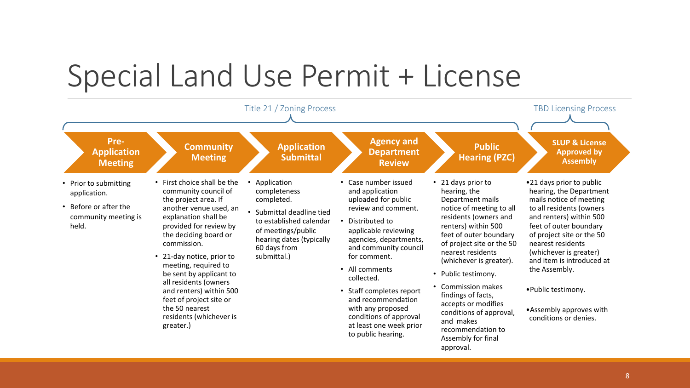### Special Land Use Permit + License

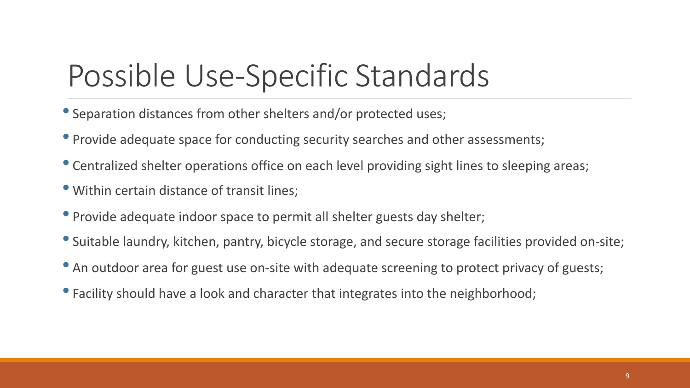### Possible Use-Specific Standards

- Separation distances from other shelters and/or protected uses;
- Provide adequate space for conducting security searches and other assessments;
- Centralized shelter operations office on each level providing sight lines to sleeping areas;
- Within certain distance of transit lines;
- Provide adequate indoor space to permit all shelter guests day shelter;
- Suitable laundry, kitchen, pantry, bicycle storage, and secure storage facilities provided on-site;
- An outdoor area for guest use on-site with adequate screening to protect privacy of guests;
- Facility should have a look and character that integrates into the neighborhood;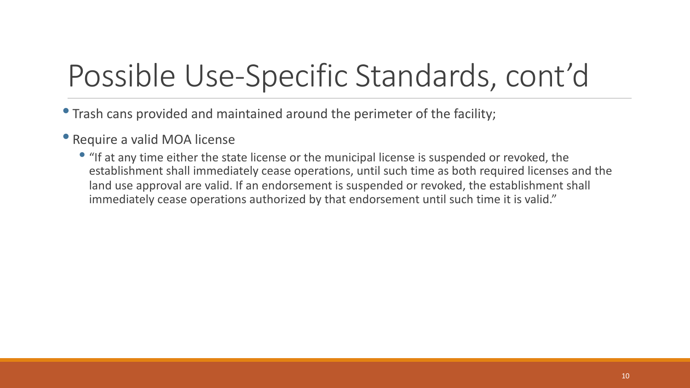### Possible Use-Specific Standards, cont'd

• Trash cans provided and maintained around the perimeter of the facility;

#### • Require a valid MOA license

• "If at any time either the state license or the municipal license is suspended or revoked, the establishment shall immediately cease operations, until such time as both required licenses and the land use approval are valid. If an endorsement is suspended or revoked, the establishment shall immediately cease operations authorized by that endorsement until such time it is valid."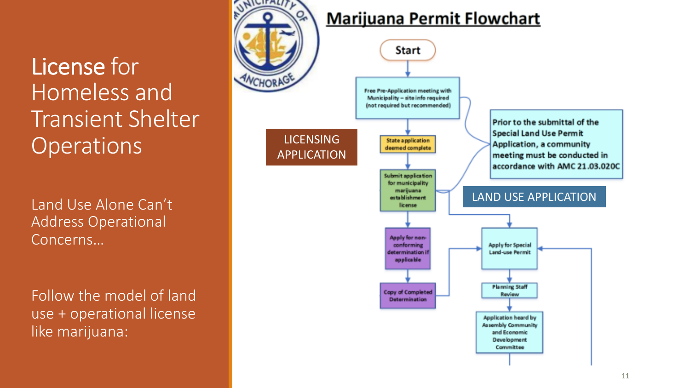License for Homeless and Transient Shelter **Operations** 

Land Use Alone Can't Address Operational Concerns…

Follow the model of land use + operational license like marijuana:

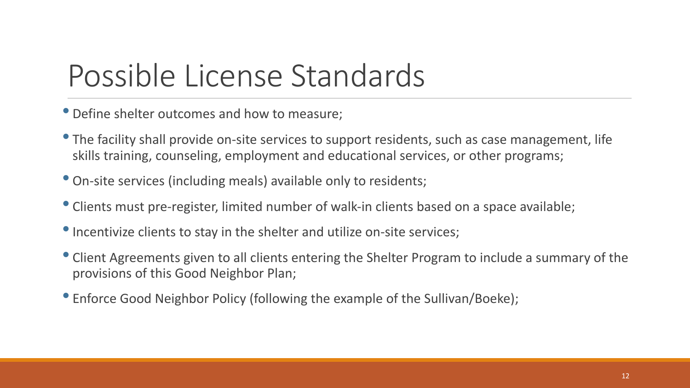### Possible License Standards

• Define shelter outcomes and how to measure;

- The facility shall provide on-site services to support residents, such as case management, life skills training, counseling, employment and educational services, or other programs;
- On-site services (including meals) available only to residents;
- Clients must pre-register, limited number of walk-in clients based on a space available;
- Incentivize clients to stay in the shelter and utilize on-site services;
- Client Agreements given to all clients entering the Shelter Program to include a summary of the provisions of this Good Neighbor Plan;
- Enforce Good Neighbor Policy (following the example of the Sullivan/Boeke);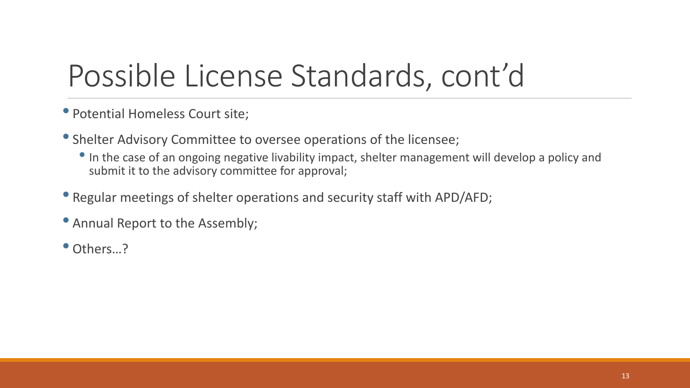### Possible License Standards, cont'd

- Potential Homeless Court site;
- Shelter Advisory Committee to oversee operations of the licensee;
	- In the case of an ongoing negative livability impact, shelter management will develop a policy and submit it to the advisory committee for approval;
- Regular meetings of shelter operations and security staff with APD/AFD;
- Annual Report to the Assembly;
- Others...?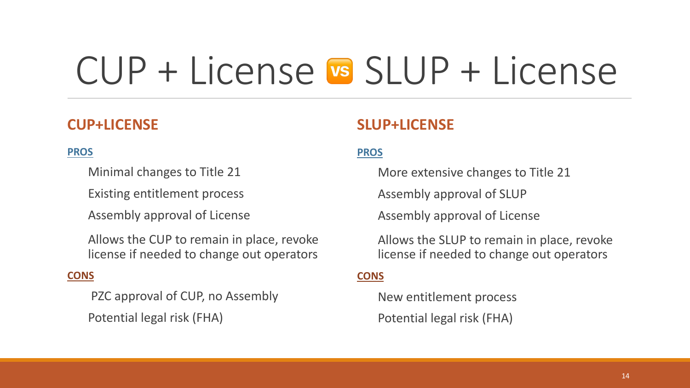# CUP + License SLUP + License

#### **CUP+LICENSE**

#### **PROS**

Minimal changes to Title 21

Existing entitlement process

Assembly approval of License

Allows the CUP to remain in place, revoke license if needed to change out operators

#### **CONS**

PZC approval of CUP, no Assembly Potential legal risk (FHA)

#### **SLUP+LICENSE**

#### **PROS**

More extensive changes to Title 21

Assembly approval of SLUP

Assembly approval of License

Allows the SLUP to remain in place, revoke license if needed to change out operators

#### **CONS**

New entitlement process Potential legal risk (FHA)